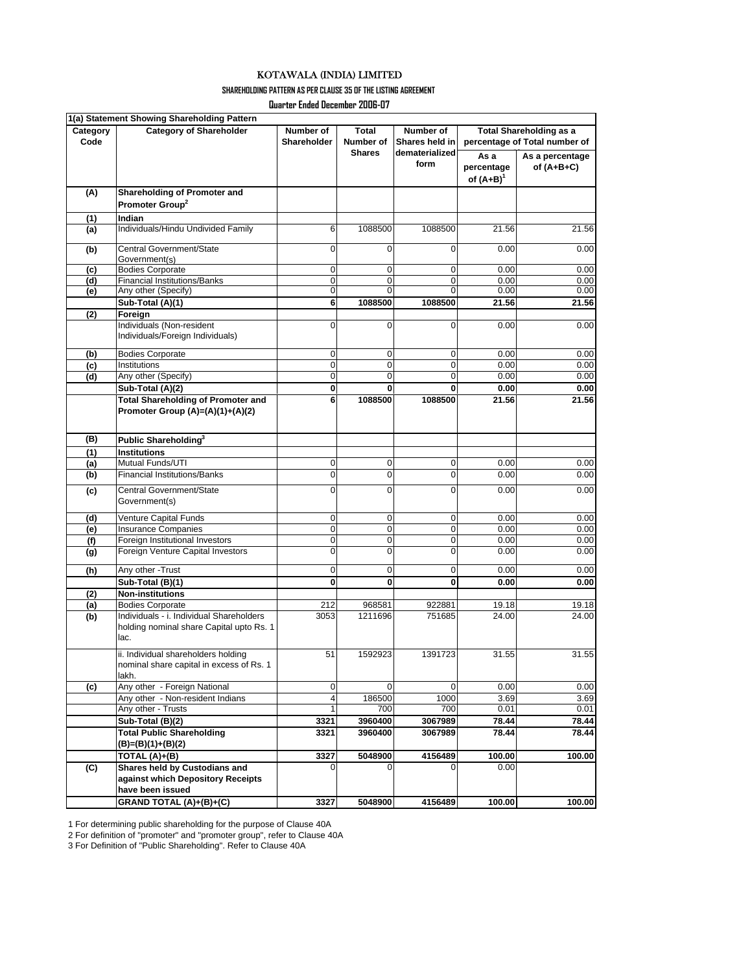**SHAREHOLDING PATTERN AS PER CLAUSE 35 OF THE LISTING AGREEMENT**

**Quarter Ended December 2006-07**

|          | 1(a) Statement Showing Shareholding Pattern |                |              |                |                                |                 |  |
|----------|---------------------------------------------|----------------|--------------|----------------|--------------------------------|-----------------|--|
| Category | <b>Category of Shareholder</b>              | Number of      | Total        | Number of      | <b>Total Shareholding as a</b> |                 |  |
| Code     |                                             | Shareholder    | Number of    | Shares held in | percentage of Total number of  |                 |  |
|          |                                             |                | Shares       | dematerialized | As a                           | As a percentage |  |
|          |                                             |                |              | form           | percentage                     | of $(A+B+C)$    |  |
|          |                                             |                |              |                | of $(A+B)^1$                   |                 |  |
| (A)      | Shareholding of Promoter and                |                |              |                |                                |                 |  |
|          | Promoter Group <sup>2</sup>                 |                |              |                |                                |                 |  |
| (1)      | Indian                                      |                |              |                |                                |                 |  |
| (a)      | Individuals/Hindu Undivided Family          | 6              | 1088500      | 1088500        | 21.56                          | 21.56           |  |
|          |                                             |                |              |                |                                |                 |  |
| (b)      | Central Government/State                    | 0              | 0            | 0              | 0.00                           | 0.00            |  |
|          | Government(s)                               |                |              |                |                                |                 |  |
| (c)      | <b>Bodies Corporate</b>                     | 0              | 0            | 0              | 0.00                           | 0.00            |  |
| (d)      | <b>Financial Institutions/Banks</b>         | $\mathbf 0$    | $\mathbf 0$  | 0              | 0.00                           | 0.00            |  |
| (e)      | Any other (Specify)                         | $\mathbf 0$    | 0            | 0              | 0.00                           | 0.00            |  |
|          | Sub-Total (A)(1)                            | 6              | 1088500      | 1088500        | 21.56                          | 21.56           |  |
| (2)      | Foreign                                     |                |              |                |                                |                 |  |
|          | Individuals (Non-resident                   | 0              | $\Omega$     | $\Omega$       | 0.00                           | 0.00            |  |
|          | Individuals/Foreign Individuals)            |                |              |                |                                |                 |  |
| (b)      | <b>Bodies Corporate</b>                     | 0              | 0            | 0              | 0.00                           | 0.00            |  |
| (c)      | Institutions                                | $\mathbf 0$    | $\mathbf 0$  | 0              | 0.00                           | 0.00            |  |
| (d)      | Any other (Specify)                         | $\mathbf{O}$   | $\mathbf 0$  | 0              | 0.00                           | 0.00            |  |
|          | Sub-Total (A)(2)                            | 0              | $\mathbf{0}$ | 0              | 0.00                           | 0.00            |  |
|          | <b>Total Shareholding of Promoter and</b>   | 6              | 1088500      | 1088500        | 21.56                          | 21.56           |  |
|          | Promoter Group (A)=(A)(1)+(A)(2)            |                |              |                |                                |                 |  |
|          |                                             |                |              |                |                                |                 |  |
|          |                                             |                |              |                |                                |                 |  |
| (B)      | Public Shareholding <sup>3</sup>            |                |              |                |                                |                 |  |
| (1)      | <b>Institutions</b>                         |                |              |                |                                |                 |  |
| (a)      | Mutual Funds/UTI                            | 0              | 0            | 0              | 0.00                           | 0.00            |  |
| (b)      | <b>Financial Institutions/Banks</b>         | 0              | $\mathbf 0$  | 0              | 0.00                           | 0.00            |  |
| (c)      | Central Government/State                    | 0              | $\mathbf 0$  | 0              | 0.00                           | 0.00            |  |
|          | Government(s)                               |                |              |                |                                |                 |  |
|          | Venture Capital Funds                       | 0              | 0            | 0              | 0.00                           | 0.00            |  |
| (d)      | <b>Insurance Companies</b>                  | 0              | $\mathbf 0$  | 0              | 0.00                           | 0.00            |  |
| (e)      | Foreign Institutional Investors             | 0              | $\mathbf 0$  | 0              |                                | 0.00            |  |
| (f)      | Foreign Venture Capital Investors           | 0              | $\mathbf 0$  | $\mathbf 0$    | 0.00<br>0.00                   | 0.00            |  |
| (g)      |                                             |                |              |                |                                |                 |  |
| (h)      | Any other -Trust                            | 0              | 0            | 0              | 0.00                           | 0.00            |  |
|          | Sub-Total (B)(1)                            | 0              | 0            | 0              | 0.00                           | 0.00            |  |
| (2)      | <b>Non-institutions</b>                     |                |              |                |                                |                 |  |
| (a)      | <b>Bodies Corporate</b>                     | 212            | 968581       | 922881         | 19.18                          | 19.18           |  |
| (b)      | Individuals - i. Individual Shareholders    | 3053           | 1211696      | 751685         | 24.00                          | 24.00           |  |
|          | holding nominal share Capital upto Rs. 1    |                |              |                |                                |                 |  |
|          | lac.                                        |                |              |                |                                |                 |  |
|          | ii. Individual shareholders holding         | 51             | 1592923      | 1391723        | 31.55                          | 31.55           |  |
|          | nominal share capital in excess of Rs. 1    |                |              |                |                                |                 |  |
|          | lakh.                                       |                |              |                |                                |                 |  |
| (c)      | Any other - Foreign National                | 0              | $\Omega$     | 0              | 0.00                           | 0.00            |  |
|          | Any other - Non-resident Indians            | $\overline{4}$ | 186500       | 1000           | 3.69                           | 3.69            |  |
|          | Any other - Trusts                          | $\mathbf{1}$   | 700          | 700            | 0.01                           | 0.01            |  |
|          | Sub-Total (B)(2)                            | 3321           | 3960400      | 3067989        | 78.44                          | 78.44           |  |
|          | <b>Total Public Shareholding</b>            | 3321           | 3960400      | 3067989        | 78.44                          | 78.44           |  |
|          | (B)=(B)(1)+(B)(2)                           |                |              |                |                                |                 |  |
|          | TOTAL (A)+(B)                               | 3327           | 5048900      | 4156489        | 100.00                         | 100.00          |  |
| (C)      | Shares held by Custodians and               | 0              | 0            | $\Omega$       | 0.00                           |                 |  |
|          | against which Depository Receipts           |                |              |                |                                |                 |  |
|          | have been issued                            |                |              |                |                                |                 |  |
|          | GRAND TOTAL (A)+(B)+(C)                     | 3327           | 5048900      | 4156489        | 100.00                         | 100.00          |  |
|          |                                             |                |              |                |                                |                 |  |

1 For determining public shareholding for the purpose of Clause 40A

2 For definition of "promoter" and "promoter group", refer to Clause 40A

3 For Definition of "Public Shareholding". Refer to Clause 40A